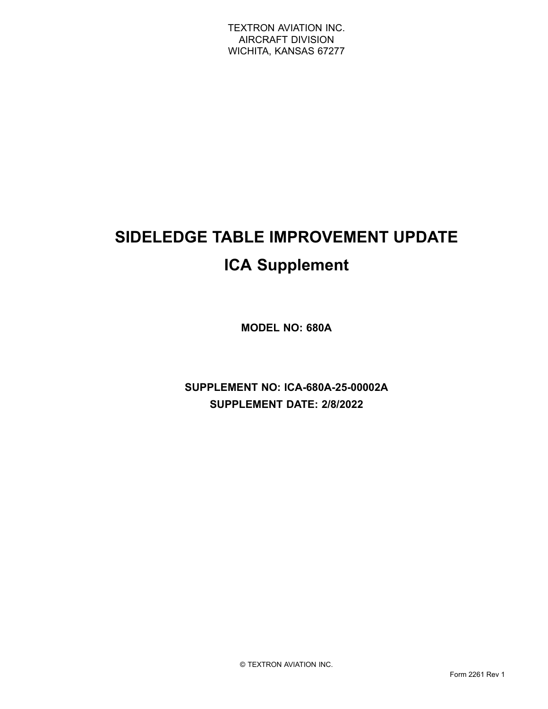# **SIDELEDGE TABLE IMPROVEMENT UPDATE ICA Supplement**

**MODEL NO: 680A**

**SUPPLEMENT NO: ICA-680A-25-00002A SUPPLEMENT DATE: 2/8/2022**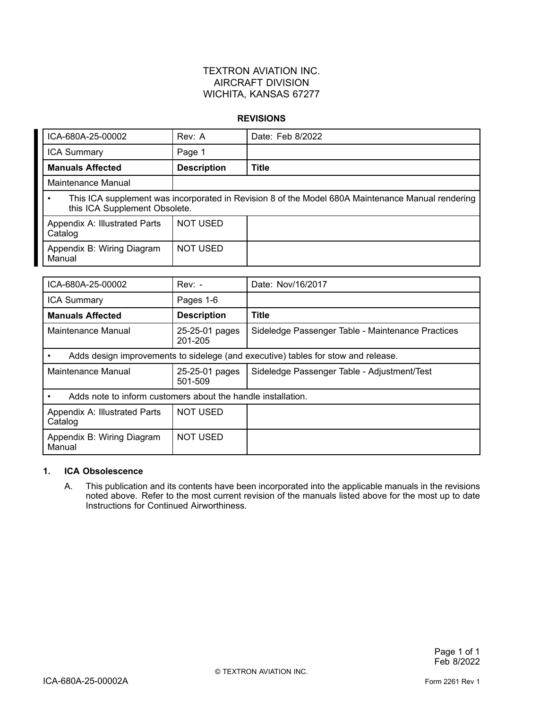#### **REVISIONS**

| ICA-680A-25-00002                                                                                                                  | Rev: A             | Date: Feb 8/2022 |  |
|------------------------------------------------------------------------------------------------------------------------------------|--------------------|------------------|--|
| <b>ICA Summary</b>                                                                                                                 | Page 1             |                  |  |
| <b>Manuals Affected</b>                                                                                                            | <b>Description</b> | <b>Title</b>     |  |
| Maintenance Manual                                                                                                                 |                    |                  |  |
| This ICA supplement was incorporated in Revision 8 of the Model 680A Maintenance Manual rendering<br>this ICA Supplement Obsolete. |                    |                  |  |
| Appendix A: Illustrated Parts<br>Catalog                                                                                           | <b>NOT USED</b>    |                  |  |
| Appendix B: Wiring Diagram<br>Manual                                                                                               | <b>NOT USED</b>    |                  |  |

| ICA-680A-25-00002                                                                 | $Rev: -$                  | Date: Nov/16/2017                                 |
|-----------------------------------------------------------------------------------|---------------------------|---------------------------------------------------|
| <b>ICA Summary</b>                                                                | Pages 1-6                 |                                                   |
| <b>Manuals Affected</b>                                                           | <b>Description</b>        | <b>Title</b>                                      |
| Maintenance Manual                                                                | 25-25-01 pages<br>201-205 | Sideledge Passenger Table - Maintenance Practices |
| Adds design improvements to sidelege (and executive) tables for stow and release. |                           |                                                   |
| Maintenance Manual                                                                | 25-25-01 pages<br>501-509 | Sideledge Passenger Table - Adjustment/Test       |
| Adds note to inform customers about the handle installation.                      |                           |                                                   |
| Appendix A: Illustrated Parts<br>Catalog                                          | <b>NOT USED</b>           |                                                   |
| Appendix B: Wiring Diagram<br>Manual                                              | <b>NOT USED</b>           |                                                   |

#### **1. ICA Obsolescence**

A. This publication and its contents have been incorporated into the applicable manuals in the revisions noted above. Refer to the most current revision of the manuals listed above for the most up to date Instructions for Continued Airworthiness.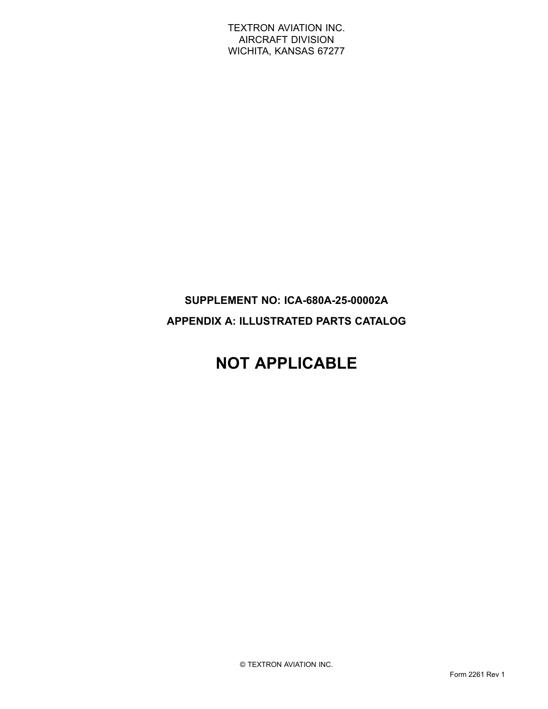### **SUPPLEMENT NO: ICA-680A-25-00002A APPENDIX A: ILLUSTRATED PARTS CATALOG**

# **NOT APPLICABLE**